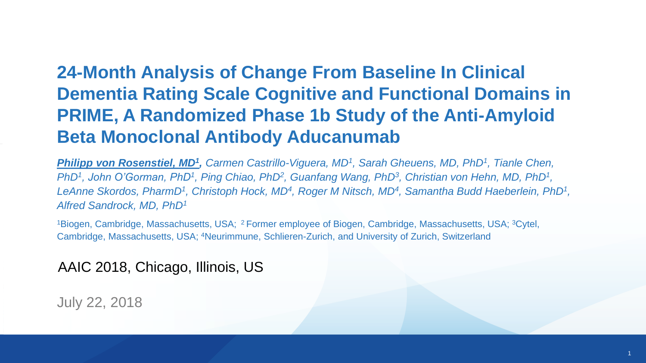### **24-Month Analysis of Change From Baseline In Clinical Dementia Rating Scale Cognitive and Functional Domains in PRIME, A Randomized Phase 1b Study of the Anti-Amyloid Beta Monoclonal Antibody Aducanumab**

*Philipp von Rosenstiel, MD<sup>1</sup> , Carmen Castrillo-Viguera, MD<sup>1</sup> , Sarah Gheuens, MD, PhD<sup>1</sup> , Tianle Chen, PhD<sup>1</sup>, John O'Gorman, PhD<sup>1</sup>, Ping Chiao, PhD<sup>2</sup>, Guanfang Wang, PhD<sup>3</sup>, Christian von Hehn, MD, PhD<sup>1</sup>,* LeAnne Skordos, PharmD<sup>1</sup>, Christoph Hock, MD<sup>4</sup>, Roger M Nitsch, MD<sup>4</sup>, Samantha Budd Haeberlein, PhD<sup>1</sup>, *Alfred Sandrock, MD, PhD<sup>1</sup>*

<sup>1</sup>Biogen, Cambridge, Massachusetts, USA; <sup>2</sup>Former employee of Biogen, Cambridge, Massachusetts, USA; <sup>3</sup>Cytel, Cambridge, Massachusetts, USA; <sup>4</sup>Neurimmune, Schlieren-Zurich, and University of Zurich, Switzerland

### AAIC 2018, Chicago, Illinois, US

July 22, 2018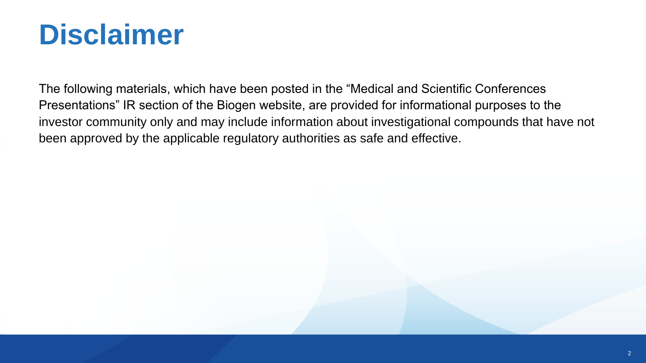# **Disclaimer**

The following materials, which have been posted in the "Medical and Scientific Conferences Presentations" IR section of the Biogen website, are provided for informational purposes to the investor community only and may include information about investigational compounds that have not been approved by the applicable regulatory authorities as safe and effective.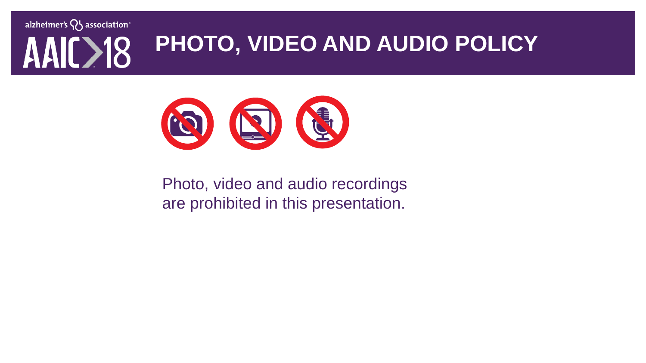alzheimer's  $\bigvee$  association<sup>®</sup> **PHOTO, VIDEO AND AUDIO POLICY 318** 



Photo, video and audio recordings are prohibited in this presentation.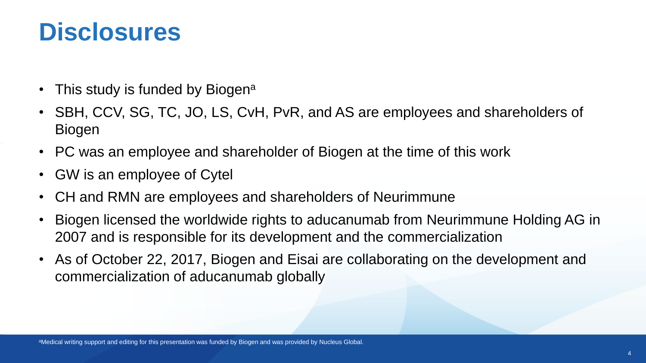## **Disclosures**

- This study is funded by Biogen<sup>a</sup>
- SBH, CCV, SG, TC, JO, LS, CvH, PvR, and AS are employees and shareholders of Biogen
- PC was an employee and shareholder of Biogen at the time of this work
- GW is an employee of Cytel
- CH and RMN are employees and shareholders of Neurimmune
- Biogen licensed the worldwide rights to aducanumab from Neurimmune Holding AG in 2007 and is responsible for its development and the commercialization
- As of October 22, 2017, Biogen and Eisai are collaborating on the development and commercialization of aducanumab globally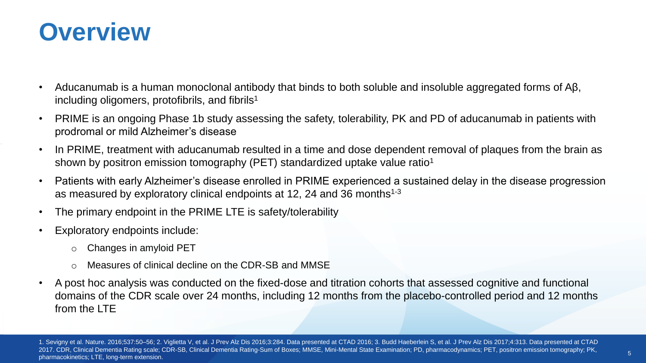

- Aducanumab is a human monoclonal antibody that binds to both soluble and insoluble aggregated forms of Aβ, including oligomers, protofibrils, and fibrils<sup>1</sup>
- PRIME is an ongoing Phase 1b study assessing the safety, tolerability, PK and PD of aducanumab in patients with prodromal or mild Alzheimer's disease
- In PRIME, treatment with aducanumab resulted in a time and dose dependent removal of plaques from the brain as shown by positron emission tomography (PET) standardized uptake value ratio<sup>1</sup>
- Patients with early Alzheimer's disease enrolled in PRIME experienced a sustained delay in the disease progression as measured by exploratory clinical endpoints at 12, 24 and 36 months<sup>1-3</sup>
- The primary endpoint in the PRIME LTE is safety/tolerability
- Exploratory endpoints include:
	- o Changes in amyloid PET
	- o Measures of clinical decline on the CDR-SB and MMSE
- A post hoc analysis was conducted on the fixed-dose and titration cohorts that assessed cognitive and functional domains of the CDR scale over 24 months, including 12 months from the placebo-controlled period and 12 months from the LTF

1. Sevigny et al. Nature. 2016;537:50–56; 2. Viglietta V, et al. J Prev Alz Dis 2016;3:284. Data presented at CTAD 2016; 3. Budd Haeberlein S, et al. J Prev Alz Dis 2017;4:313. Data presented at CTAD 2017. CDR, Clinical Dementia Rating scale; CDR-SB, Clinical Dementia Rating-Sum of Boxes; MMSE, Mini-Mental State Examination; PD, pharmacodynamics; PET, positron emission tomography; PK, pharmacokinetics; LTE, long-term extension.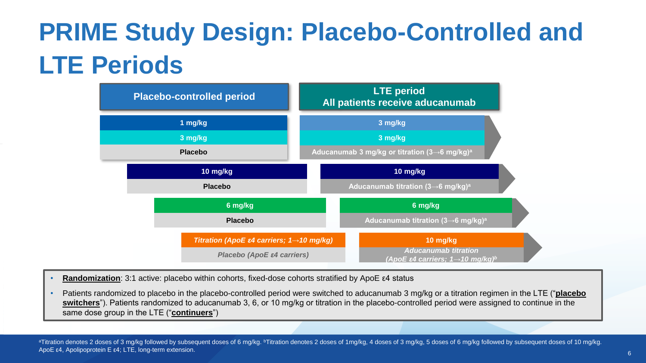# **PRIME Study Design: Placebo-Controlled and LTE Periods**



- **Randomization**: 3:1 active: placebo within cohorts, fixed-dose cohorts stratified by ApoE ε4 status
- Patients randomized to placebo in the placebo-controlled period were switched to aducanumab 3 mg/kg or a titration regimen in the LTE ("**placebo switchers**"). Patients randomized to aducanumab 3, 6, or 10 mg/kg or titration in the placebo-controlled period were assigned to continue in the same dose group in the LTE ("**continuers**")

<sup>1</sup> aTitration denotes 2 doses of 3 mg/kg followed by subsequent doses of 6 mg/kg. bTitration denotes 2 doses of 1mg/kg, 4 doses of 3 mg/kg, 5 doses of 6 mg/kg followed by subsequent doses of 10 mg/kg. ApoE ε4, Apolipoprotein E ε4; LTE, long-term extension.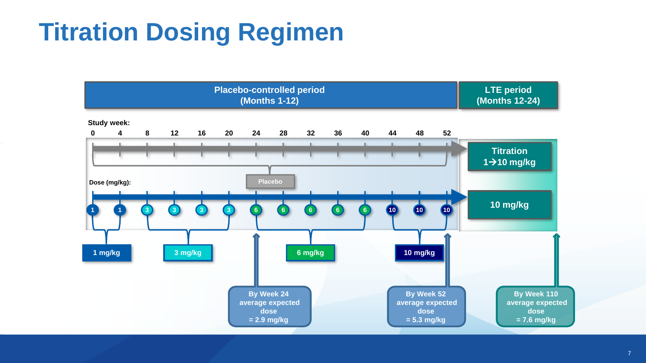# **Titration Dosing Regimen**

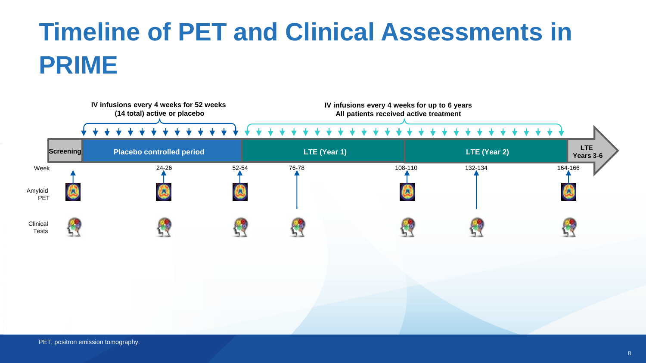# **Timeline of PET and Clinical Assessments in PRIME**

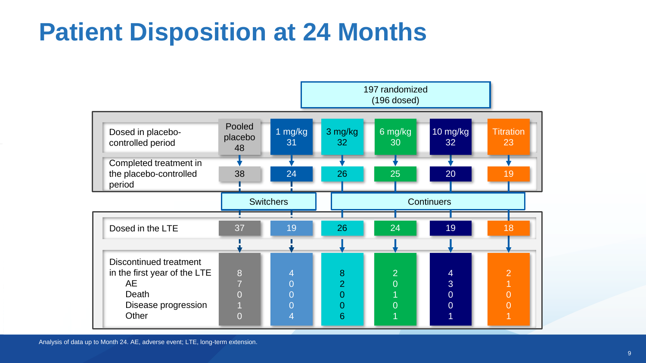## **Patient Disposition at 24 Months**



Analysis of data up to Month 24. AE, adverse event; LTE, long-term extension.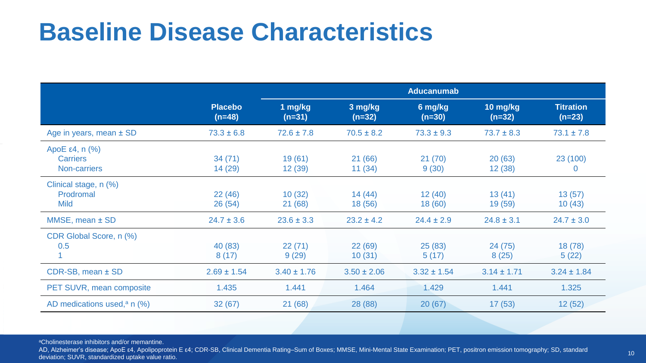### **Baseline Disease Characteristics**

|                                                        |                            | <b>Aducanumab</b>   |                     |                     |                      |                              |  |  |
|--------------------------------------------------------|----------------------------|---------------------|---------------------|---------------------|----------------------|------------------------------|--|--|
|                                                        | <b>Placebo</b><br>$(n=48)$ | 1 mg/kg<br>$(n=31)$ | 3 mg/kg<br>$(n=32)$ | 6 mg/kg<br>$(n=30)$ | 10 mg/kg<br>$(n=32)$ | <b>Titration</b><br>$(n=23)$ |  |  |
| Age in years, mean $\pm$ SD                            | $73.3 \pm 6.8$             | $72.6 \pm 7.8$      | $70.5 \pm 8.2$      | $73.3 \pm 9.3$      | $73.7 \pm 8.3$       | $73.1 \pm 7.8$               |  |  |
| $ApoE$ ε4, n $(\%)$<br><b>Carriers</b><br>Non-carriers | 34(71)<br>14 (29)          | 19(61)<br>12(39)    | 21 (66)<br>11(34)   | 21(70)<br>9(30)     | 20(63)<br>12(38)     | 23 (100)<br>0                |  |  |
| Clinical stage, n (%)<br>Prodromal<br><b>Mild</b>      | 22(46)<br>26(54)           | 10(32)<br>21(68)    | 14(44)<br>18 (56)   | 12(40)<br>18(60)    | 13(41)<br>19(59)     | 13(57)<br>10(43)             |  |  |
| $MMSE$ , mean $\pm$ SD                                 | $24.7 \pm 3.6$             | $23.6 \pm 3.3$      | $23.2 \pm 4.2$      | $24.4 \pm 2.9$      | $24.8 \pm 3.1$       | $24.7 \pm 3.0$               |  |  |
| CDR Global Score, n (%)<br>0.5                         | 40 (83)<br>8(17)           | 22(71)<br>9(29)     | 22(69)<br>10(31)    | 25(83)<br>5(17)     | 24(75)<br>8(25)      | 18(78)<br>5(22)              |  |  |
| CDR-SB, mean ± SD                                      | $2.69 \pm 1.54$            | $3.40 \pm 1.76$     | $3.50 \pm 2.06$     | $3.32 \pm 1.54$     | $3.14 \pm 1.71$      | $3.24 \pm 1.84$              |  |  |
| PET SUVR, mean composite                               | 1.435                      | 1.441               | 1.464               | 1.429               | 1.441                | 1.325                        |  |  |
| AD medications used, <sup>a</sup> n $(\%)$             | 32(67)                     | 21(68)              | 28 (88)             | 20(67)              | 17(53)               | 12(52)                       |  |  |

<sup>a</sup>Cholinesterase inhibitors and/or memantine.

AD, Alzheimer's disease; ApoE ε4, Apolipoprotein E ε4; CDR-SB, Clinical Dementia Rating–Sum of Boxes; MMSE, Mini-Mental State Examination; PET, positron emission tomography; SD, standard deviation; SUVR, standardized uptake value ratio.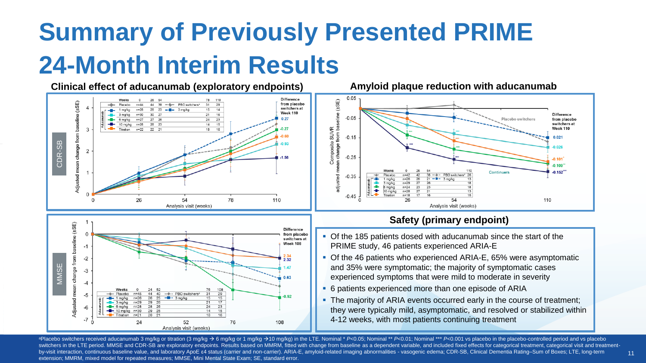# **Summary of Previously Presented PRIME 24-Month Interim Results**





### **Safety (primary endpoint)**

- Of the 185 patients dosed with aducanumab since the start of the PRIME study, 46 patients experienced ARIA-E
- Of the 46 patients who experienced ARIA-E, 65% were asymptomatic and 35% were symptomatic; the majority of symptomatic cases experienced symptoms that were mild to moderate in severity
- 6 patients experienced more than one episode of ARIA
- The majority of ARIA events occurred early in the course of treatment; they were typically mild, asymptomatic, and resolved or stabilized within 4-12 weeks, with most patients continuing treatment

11

appace bo switchers received aducanumab 3 mg/kg or titration (3 mg/kg → 6 mg/kg or 1 mg/kg → 10 mg/kg) in the LTE. Nominal \* P<0.05; Nominal \*\* P<0.01; Nominal \*\* P<0.01 ys placebo in the placebo-controlled period and ys switchers in the LTE period. MMSE and CDR-SB are exploratory endpoints. Results based on MMRM, fitted with change from baseline as a dependent variable, and included fixed effects for categorical treatment, categorical vis by-visit interaction, continuous baseline value, and laboratory ApoE £4 status (carrier and non-carrier). ARIA-E, amyloid-related imaging abnormalities - vasogenic edema; CDR-SB, Clinical Dementia Rating-Sum of Boxes; LTE, extension; MMRM, mixed model for repeated measures; MMSE, Mini Mental State Exam; SE, standard error.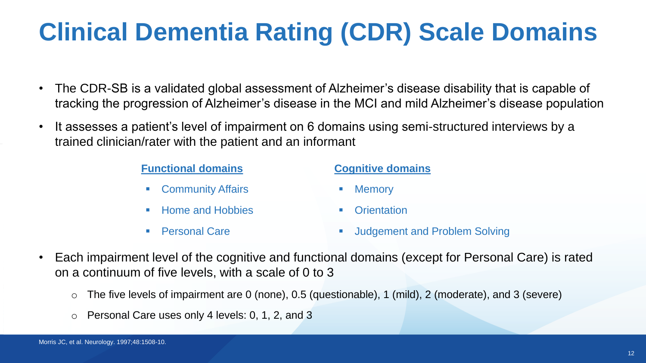# **Clinical Dementia Rating (CDR) Scale Domains**

- The CDR-SB is a validated global assessment of Alzheimer's disease disability that is capable of tracking the progression of Alzheimer's disease in the MCI and mild Alzheimer's disease population
- It assesses a patient's level of impairment on 6 domains using semi-structured interviews by a trained clinician/rater with the patient and an informant

### **Functional domains**

- **Community Affairs**
- **Home and Hobbies**
- **Personal Care**

### **Cognitive domains**

- Memory
- Orientation
- Judgement and Problem Solving
- Each impairment level of the cognitive and functional domains (except for Personal Care) is rated on a continuum of five levels, with a scale of 0 to 3
	- $\circ$  The five levels of impairment are 0 (none), 0.5 (questionable), 1 (mild), 2 (moderate), and 3 (severe)
	- o Personal Care uses only 4 levels: 0, 1, 2, and 3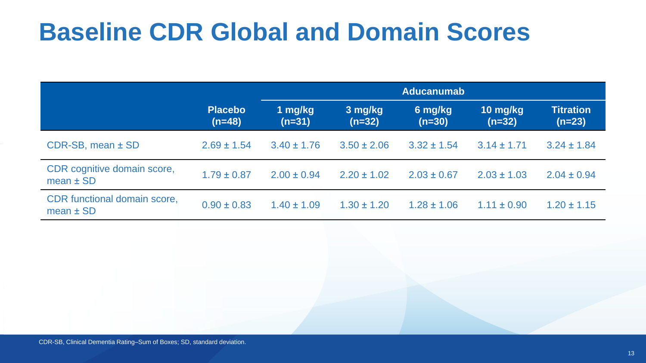## **Baseline CDR Global and Domain Scores**

|                                               |                            | <b>Aducanumab</b>   |                     |                     |                      |                              |  |  |
|-----------------------------------------------|----------------------------|---------------------|---------------------|---------------------|----------------------|------------------------------|--|--|
|                                               | <b>Placebo</b><br>$(n=48)$ | 1 mg/kg<br>$(n=31)$ | 3 mg/kg<br>$(n=32)$ | 6 mg/kg<br>$(n=30)$ | 10 mg/kg<br>$(n=32)$ | <b>Titration</b><br>$(n=23)$ |  |  |
| CDR-SB, mean ± SD                             | $2.69 \pm 1.54$            | $3.40 \pm 1.76$     | $3.50 \pm 2.06$     | $3.32 \pm 1.54$     | $3.14 \pm 1.71$      | $3.24 \pm 1.84$              |  |  |
| CDR cognitive domain score,<br>$mean \pm SD$  | $1.79 \pm 0.87$            | $2.00 \pm 0.94$     | $2.20 \pm 1.02$     | $2.03 \pm 0.67$     | $2.03 \pm 1.03$      | $2.04 \pm 0.94$              |  |  |
| CDR functional domain score,<br>mean $\pm$ SD | $0.90 \pm 0.83$            | $1.40 \pm 1.09$     | $1.30 \pm 1.20$     | $1.28 \pm 1.06$     | $1.11 \pm 0.90$      | $1.20 \pm 1.15$              |  |  |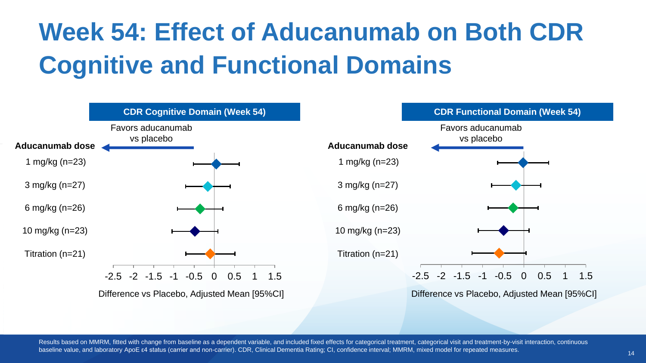# **Week 54: Effect of Aducanumab on Both CDR Cognitive and Functional Domains**



Results based on MMRM, fitted with change from baseline as a dependent variable, and included fixed effects for categorical treatment, categorical visit and treatment-by-visit interaction, continuous baseline value, and laboratory ApoE ε4 status (carrier and non-carrier). CDR, Clinical Dementia Rating; CI, confidence interval; MMRM, mixed model for repeated measures.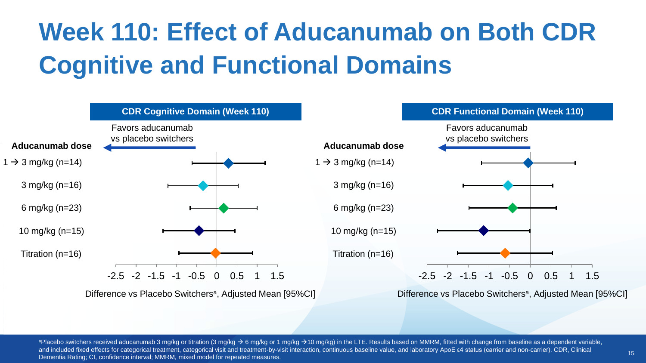# **Week 110: Effect of Aducanumab on Both CDR Cognitive and Functional Domains**



Difference vs Placebo Switchers<sup>a</sup>, Adjusted Mean [95%CI]



Difference vs Placebo Switchers<sup>a</sup>, Adjusted Mean [95%CI]

<sup>a</sup>Placebo switchers received aducanumab 3 mg/kg or titration (3 mg/kg  $\rightarrow$  6 mg/kg or 1 mg/kg  $\rightarrow$  10 mg/kg) in the LTE. Results based on MMRM, fitted with change from baseline as a dependent variable, And included fixed effects for categorical treatment, categorical visit and treatment-by-visit interaction, continuous baseline value, and laboratory ApoE ε4 status (carrier and non-carrier). CDR, Clinical Dementia Rating; CI, confidence interval; MMRM, mixed model for repeated measures.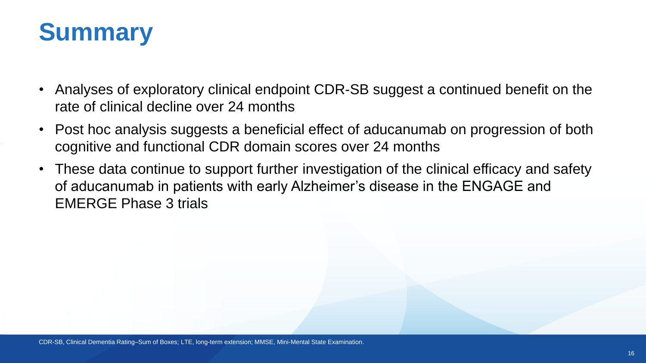

- Analyses of exploratory clinical endpoint CDR-SB suggest a continued benefit on the rate of clinical decline over 24 months
- Post hoc analysis suggests a beneficial effect of aducanumab on progression of both cognitive and functional CDR domain scores over 24 months
- These data continue to support further investigation of the clinical efficacy and safety of aducanumab in patients with early Alzheimer's disease in the ENGAGE and EMERGE Phase 3 trials